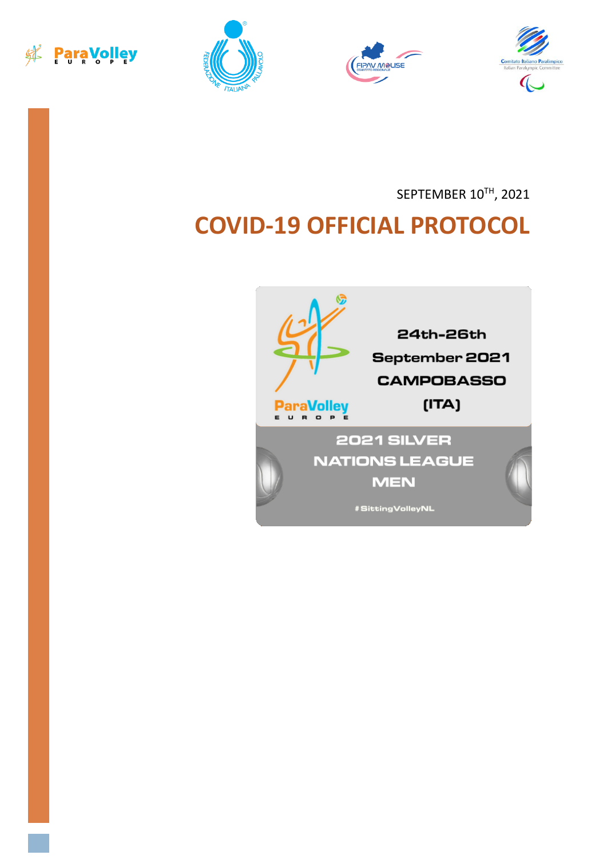







SEPTEMBER 10TH, 2021

# **COVID-19 OFFICIAL PROTOCOL**

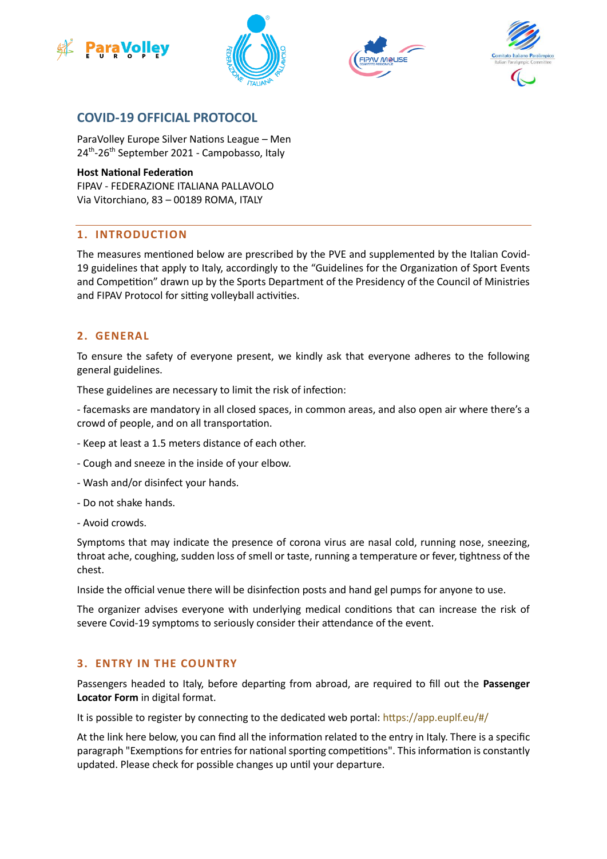







# **COVID-19 OFFICIAL PROTOCOL**

ParaVolley Europe Silver Nations League – Men 24<sup>th</sup>-26<sup>th</sup> September 2021 - Campobasso, Italy

#### **Host National Federation**

FIPAV - FEDERAZIONE ITALIANA PALLAVOLO Via Vitorchiano, 83 – 00189 ROMA, ITALY

## **1. INTRODUCTION**

The measures mentioned below are prescribed by the PVE and supplemented by the Italian Covid-19 guidelines that apply to Italy, accordingly to the "Guidelines for the Organization of Sport Events and Competition" drawn up by the Sports Department of the Presidency of the Council of Ministries and FIPAV Protocol for sitting volleyball activities.

## **2. GENERAL**

To ensure the safety of everyone present, we kindly ask that everyone adheres to the following general guidelines.

These guidelines are necessary to limit the risk of infection:

- facemasks are mandatory in all closed spaces, in common areas, and also open air where there's a crowd of people, and on all transportation.

- Keep at least a 1.5 meters distance of each other.
- Cough and sneeze in the inside of your elbow.
- Wash and/or disinfect your hands.
- Do not shake hands.
- Avoid crowds.

Symptoms that may indicate the presence of corona virus are nasal cold, running nose, sneezing, throat ache, coughing, sudden loss of smell or taste, running a temperature or fever, tightness of the chest.

Inside the official venue there will be disinfection posts and hand gel pumps for anyone to use.

The organizer advises everyone with underlying medical conditions that can increase the risk of severe Covid-19 symptoms to seriously consider their attendance of the event.

#### **3. ENTRY IN THE COUNTRY**

Passengers headed to Italy, before departing from abroad, are required to fill out the **Passenger Locator Form** in digital format.

It is possible to register by connecting to the dedicated web portal[: https://app.euplf.eu/#/](https://app.euplf.eu/#/)

At the link here below, you can find all the information related to the entry in Italy. There is a specific paragraph "Exemptions for entries for national sporting competitions". This information is constantly updated. Please check for possible changes up until your departure.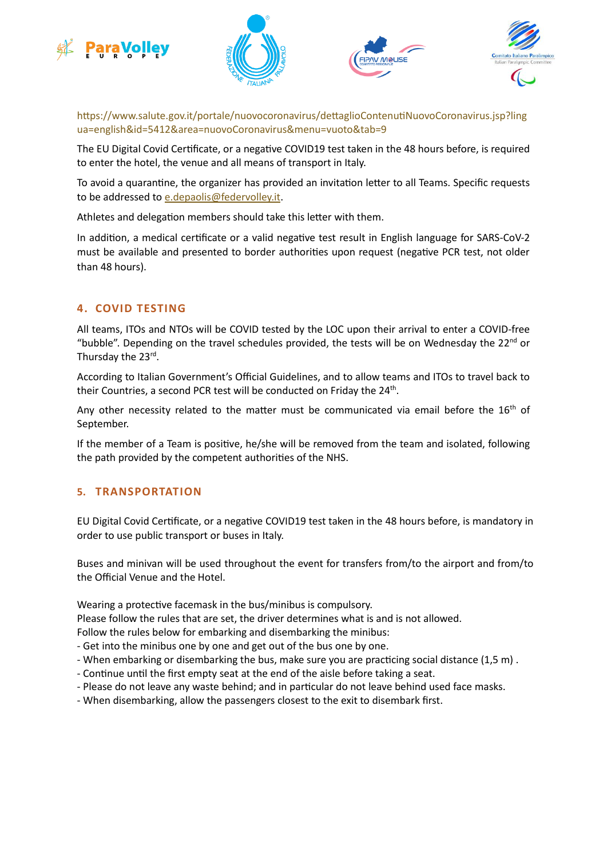







[https://www.salute.gov.it/portale/nuovocoronavirus/dettaglioContenutiNuovoCoronavirus.jsp?ling](https://www.salute.gov.it/portale/nuovocoronavirus/dettaglioContenutiNuovoCoronavirus.jsp?lingua=english&id=5412&area=nuovoCoronavirus&menu=vuoto&tab=9) [ua=english&id=5412&area=nuovoCoronavirus&menu=vuoto&tab=9](https://www.salute.gov.it/portale/nuovocoronavirus/dettaglioContenutiNuovoCoronavirus.jsp?lingua=english&id=5412&area=nuovoCoronavirus&menu=vuoto&tab=9) 

The EU Digital Covid Certificate, or a negative COVID19 test taken in the 48 hours before, is required to enter the hotel, the venue and all means of transport in Italy.

To avoid a quarantine, the organizer has provided an invitation letter to all Teams. Specific requests to be addressed to [e.depaolis@federvolley.it.](mailto:e.depaolis@federvolley.it)

Athletes and delegation members should take this letter with them.

In addition, a medical certificate or a valid negative test result in English language for SARS-CoV-2 must be available and presented to border authorities upon request (negative PCR test, not older than 48 hours).

# **4. COVID TESTING**

All teams, ITOs and NTOs will be COVID tested by the LOC upon their arrival to enter a COVID-free "bubble". Depending on the travel schedules provided, the tests will be on Wednesday the  $22<sup>nd</sup>$  or Thursday the 23rd.

According to Italian Government's Official Guidelines, and to allow teams and ITOs to travel back to their Countries, a second PCR test will be conducted on Friday the 24<sup>th</sup>.

Any other necessity related to the matter must be communicated via email before the  $16<sup>th</sup>$  of September.

If the member of a Team is positive, he/she will be removed from the team and isolated, following the path provided by the competent authorities of the NHS.

#### **5. TRANSPORTATION**

EU Digital Covid Certificate, or a negative COVID19 test taken in the 48 hours before, is mandatory in order to use public transport or buses in Italy.

Buses and minivan will be used throughout the event for transfers from/to the airport and from/to the Official Venue and the Hotel.

Wearing a protective facemask in the bus/minibus is compulsory.

Please follow the rules that are set, the driver determines what is and is not allowed.

Follow the rules below for embarking and disembarking the minibus:

- Get into the minibus one by one and get out of the bus one by one.
- When embarking or disembarking the bus, make sure you are practicing social distance (1,5 m) .
- Continue until the first empty seat at the end of the aisle before taking a seat.
- Please do not leave any waste behind; and in particular do not leave behind used face masks.
- When disembarking, allow the passengers closest to the exit to disembark first.